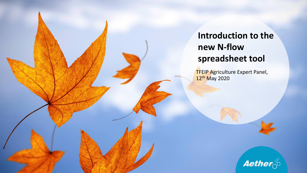## **Introduction to the new N-flow spreadsheet tool**

**TFEIP Agriculture Expert Panel,** 12<sup>th</sup> May 2020

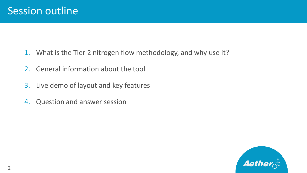- 1. What is the Tier 2 nitrogen flow methodology, and why use it?
- 2. General information about the tool
- 3. Live demo of layout and key features
- 4. Question and answer session

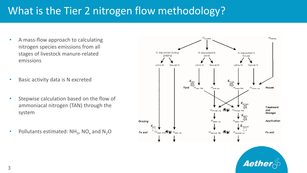# What is the Tier 2 nitrogen flow methodology?

- A mass-flow approach to calculating nitrogen species emissions from all stages of livestock manure-related emissions
- Basic activity data is N excreted
- Stepwise calculation based on the flow of ammoniacal nitrogen (TAN) through the system
- Pollutants estimated:  $NH_3$ , NO<sub>x</sub> and N<sub>2</sub>O



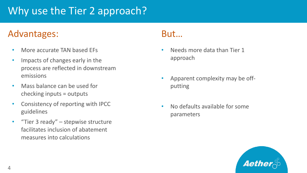# Why use the Tier 2 approach?

#### Advantages: But...

- More accurate TAN based EFs
- Impacts of changes early in the process are reflected in downstream emissions
- Mass balance can be used for checking inputs = outputs
- Consistency of reporting with IPCC guidelines
- "Tier 3 ready" stepwise structure facilitates inclusion of abatement measures into calculations

- Needs more data than Tier 1 approach
- Apparent complexity may be offputting
- No defaults available for some parameters

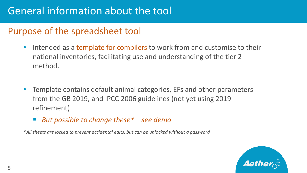### Purpose of the spreadsheet tool

- Intended as a template for compilers to work from and customise to their national inventories, facilitating use and understanding of the tier 2 method.
- Template contains default animal categories, EFs and other parameters from the GB 2019, and IPCC 2006 guidelines (not yet using 2019 refinement)
	- But possible to change these\* see demo

*\*All sheets are locked to prevent accidental edits, but can be unlocked without a password*

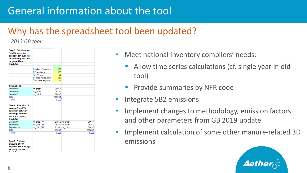## Why has the spreadsheet tool been updated?

*2013 GB tool:*

| Step 3. Calculation of<br><b>Total N</b> excretion |                       |         |                 |         |
|----------------------------------------------------|-----------------------|---------|-----------------|---------|
| deposited in buildings.                            |                       |         |                 |         |
| on outdoor yards and                               |                       |         |                 |         |
| on grazed land                                     |                       |         |                 |         |
| Input data                                         |                       |         |                 |         |
|                                                    |                       |         |                 |         |
|                                                    | Number of livestock   | 100     |                 |         |
|                                                    | <b>N</b> Excretion ka | 105     |                 |         |
|                                                    | % TAN excr            | 60      |                 |         |
|                                                    | Housed period, days   | 180     |                 |         |
|                                                    | % excreta on yards    | 25      |                 |         |
|                                                    |                       |         |                 |         |
| <b>Calculations</b>                                |                       |         |                 |         |
| Equation 5                                         | m grazN               | 3991.4  |                 |         |
| Equation 6                                         | m yardN               | 2625.0  |                 |         |
| Equation 7                                         | m buildN              | 3883.6  |                 |         |
| Total                                              |                       | 10500.0 |                 |         |
| <b>Check</b>                                       |                       | 0.000   |                 |         |
|                                                    |                       |         |                 |         |
| Step 4. Allocation of                              |                       |         |                 |         |
| organic-N and TAN                                  |                       |         |                 |         |
| excretion between                                  |                       |         |                 |         |
| buildings, outdoor                                 |                       |         |                 |         |
| vards and grazing                                  |                       |         |                 |         |
| Input data                                         |                       |         |                 |         |
| Equation 8                                         | m graz, TAN           |         | 2394.9 m grazN  | 3991.4  |
| Equation 9                                         | m yard, TAN           |         | 1575.0 m yardN  | 2625.0  |
| Equation 10                                        | m build, TAN          |         | 2330.1 m buildN | 3883.6  |
| Total                                              |                       | 6300.0  |                 | 10500.0 |
| <b>Check</b>                                       |                       | 0.000   |                 | 0.000   |
|                                                    |                       |         |                 |         |
|                                                    |                       |         |                 |         |
| Step 5. Estimate                                   |                       |         |                 |         |
| amounts of TAN                                     |                       |         |                 |         |
| deposited in buildings                             |                       |         |                 |         |

- Meet national inventory compilers' needs:
	- Allow time series calculations (cf. single year in old tool)
	- **Provide summaries by NFR code**
- Integrate 5B2 emissions
- Implement changes to methodology, emission factors and other parameters from GB 2019 update
- Implement calculation of some other manure-related 3D emissions

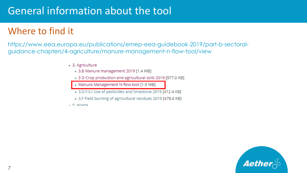## Where to find it

https://www.eea.europa.eu/publications/emep-eea-guidebook-2019/part-b-sectoralguidance-chapters/4-agriculture/manure-management-n-flow-tool/view

- 3. Agriculture
	- 3.B Manure management 2019 [1.4 MB]
	- . 3 D Crop production and agricultural soils 2019 [977.0 KB]
	- Manure Management N-flow tool [1.9 MB]
	- 3.D.f-3.I Use of pesticides and limestone 2019 [412.4 KB]
	- . 3.F Field burning of agricultural residues 2019 [478.6 KB]
- 5 Macto

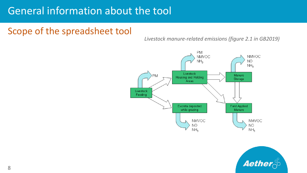### Scope of the spreadsheet tool

*Livestock manure-related emissions (figure 2.1 in GB2019)*



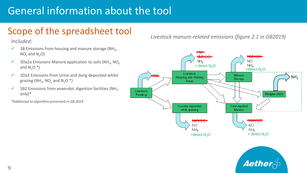## Scope of the spreadsheet tool

*Included:*

- $\checkmark$  3B Emissions from housing and manure storage (NH<sub>3</sub>,  $NO<sub>x</sub>$  and  $N<sub>2</sub>O$ )
- $\checkmark$  3Da2a Emissions Manure application to soils (NH<sub>3</sub>, NO<sub>x</sub> and  $N_2O^*$ )
- $\checkmark$  3Da3 Emissions from Urine and dung deposited whilst grazing (NH<sub>3</sub>, NO<sub>x</sub> and N<sub>2</sub>O \*)
- $\checkmark$  5B2 Emissions from anaerobic digestion facilities (NH<sub>3</sub>) only)\*

*\*Additional to algorithm presented in GB 2019*

*Livestock manure-related emissions (figure 2.1 in GB2019)*



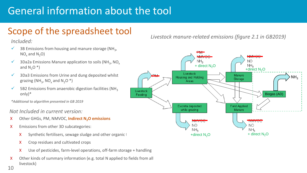## Scope of the spreadsheet tool

*Included:*

- $\checkmark$  3B Emissions from housing and manure storage (NH<sub>3</sub>,  $NO<sub>x</sub>$  and  $N<sub>2</sub>O$ )
- $\checkmark$  3Da2a Emissions Manure application to soils (NH<sub>3</sub>, NO<sub>x</sub> and  $N_2O^*$ )
- $\checkmark$  3Da3 Emissions from Urine and dung deposited whilst grazing (NH<sub>3</sub>, NO<sub>x</sub> and N<sub>2</sub>O \*)
- $\checkmark$  5B2 Emissions from anaerobic digestion facilities (NH<sub>2</sub>) only)\*

*\*Additional to algorithm presented in GB 2019*

*Not Included in current version:*

- X Other GHGs, PM, NMVOC, **Indirect N2O emissions**
- X Emissions from other 3D subcategories:
	- $X$  Synthetic fertilisers, sewage sludge and other organic f
	- X Crop residues and cultivated crops
	- X Use of pesticides, farm-level operations, off-farm storage + handling
- X Other kinds of summary information (e.g. total N applied to fields from all livestock)

*Livestock manure-related emissions (figure 2.1 in GB2019)*



10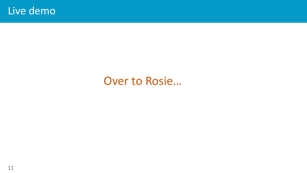# Over to Rosie...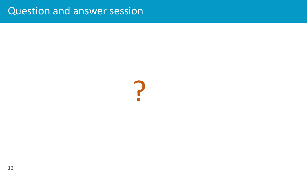## Question and answer session

?